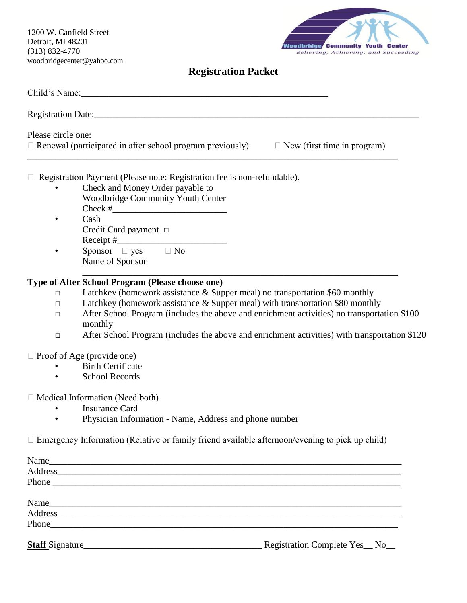1200 W. Canfield Street Detroit, MI 48201 (313) 832-4770 woodbridgecenter@yahoo.com



### **Registration Packet**

| Please circle one: | $\Box$ Renewal (participated in after school program previously) $\Box$ New (first time in program)                                                                                                                            |                               |
|--------------------|--------------------------------------------------------------------------------------------------------------------------------------------------------------------------------------------------------------------------------|-------------------------------|
|                    | Registration Payment (Please note: Registration fee is non-refundable).                                                                                                                                                        |                               |
|                    | Check and Money Order payable to<br>Woodbridge Community Youth Center                                                                                                                                                          |                               |
|                    | Cash<br>Credit Card payment $\Box$                                                                                                                                                                                             |                               |
|                    | Sponsor $\Box$ yes $\Box$ No<br>Name of Sponsor                                                                                                                                                                                |                               |
|                    | Type of After School Program (Please choose one)                                                                                                                                                                               |                               |
| $\Box$             | Latchkey (homework assistance & Supper meal) no transportation \$60 monthly                                                                                                                                                    |                               |
| $\Box$             | Latchkey (homework assistance & Supper meal) with transportation \$80 monthly                                                                                                                                                  |                               |
| $\Box$             | After School Program (includes the above and enrichment activities) no transportation \$100                                                                                                                                    |                               |
|                    | monthly                                                                                                                                                                                                                        |                               |
| □                  | After School Program (includes the above and enrichment activities) with transportation \$120                                                                                                                                  |                               |
|                    | $\Box$ Proof of Age (provide one)                                                                                                                                                                                              |                               |
|                    | <b>Birth Certificate</b>                                                                                                                                                                                                       |                               |
|                    | <b>School Records</b>                                                                                                                                                                                                          |                               |
|                    | $\Box$ Medical Information (Need both)                                                                                                                                                                                         |                               |
|                    | <b>Insurance Card</b>                                                                                                                                                                                                          |                               |
|                    | Physician Information - Name, Address and phone number                                                                                                                                                                         |                               |
|                    | $\Box$ Emergency Information (Relative or family friend available afternoon/evening to pick up child)                                                                                                                          |                               |
|                    | Name                                                                                                                                                                                                                           |                               |
|                    | Address and the contract of the contract of the contract of the contract of the contract of the contract of the contract of the contract of the contract of the contract of the contract of the contract of the contract of th |                               |
|                    |                                                                                                                                                                                                                                |                               |
|                    | Name                                                                                                                                                                                                                           |                               |
|                    | Address and the contract of the contract of the contract of the contract of the contract of the contract of the contract of the contract of the contract of the contract of the contract of the contract of the contract of th |                               |
|                    |                                                                                                                                                                                                                                |                               |
|                    | Staff Signature                                                                                                                                                                                                                | Registration Complete Yes_No_ |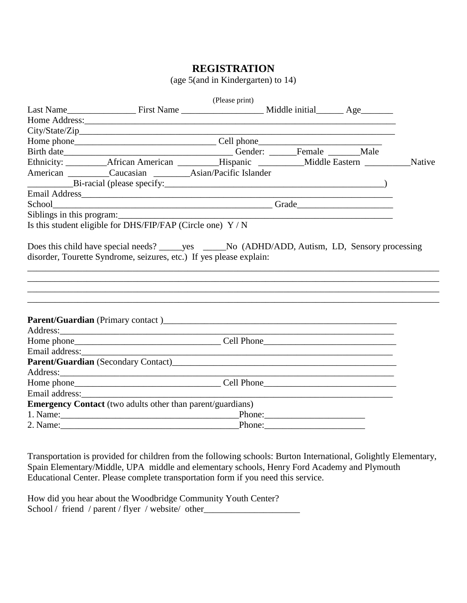#### **REGISTRATION**

(age 5(and in Kindergarten) to 14)

|  |                                                                                                        | (Please print) |  |  |  |  |  |
|--|--------------------------------------------------------------------------------------------------------|----------------|--|--|--|--|--|
|  |                                                                                                        |                |  |  |  |  |  |
|  |                                                                                                        |                |  |  |  |  |  |
|  |                                                                                                        |                |  |  |  |  |  |
|  |                                                                                                        |                |  |  |  |  |  |
|  |                                                                                                        |                |  |  |  |  |  |
|  | Ethnicity: ___________African American __________Hispanic ____________Middle Eastern ___________Native |                |  |  |  |  |  |
|  | American Caucasian Asian/Pacific Islander                                                              |                |  |  |  |  |  |
|  |                                                                                                        |                |  |  |  |  |  |
|  |                                                                                                        |                |  |  |  |  |  |
|  |                                                                                                        |                |  |  |  |  |  |
|  |                                                                                                        |                |  |  |  |  |  |
|  | Is this student eligible for DHS/FIP/FAP (Circle one) Y / N                                            |                |  |  |  |  |  |
|  |                                                                                                        |                |  |  |  |  |  |
|  |                                                                                                        |                |  |  |  |  |  |
|  |                                                                                                        |                |  |  |  |  |  |
|  |                                                                                                        |                |  |  |  |  |  |
|  |                                                                                                        |                |  |  |  |  |  |
|  |                                                                                                        |                |  |  |  |  |  |
|  |                                                                                                        |                |  |  |  |  |  |
|  |                                                                                                        |                |  |  |  |  |  |
|  | <b>Emergency Contact</b> (two adults other than parent/guardians)                                      |                |  |  |  |  |  |
|  |                                                                                                        |                |  |  |  |  |  |
|  | 2. Name: Phone: Phone:                                                                                 |                |  |  |  |  |  |
|  |                                                                                                        |                |  |  |  |  |  |

Transportation is provided for children from the following schools: Burton International, Golightly Elementary, Spain Elementary/Middle, UPA middle and elementary schools, Henry Ford Academy and Plymouth Educational Center. Please complete transportation form if you need this service.

How did you hear about the Woodbridge Community Youth Center? School / friend / parent / flyer / website/ other\_\_\_\_\_\_\_\_\_\_\_\_\_\_\_\_\_\_\_\_\_\_\_\_\_\_\_\_\_\_\_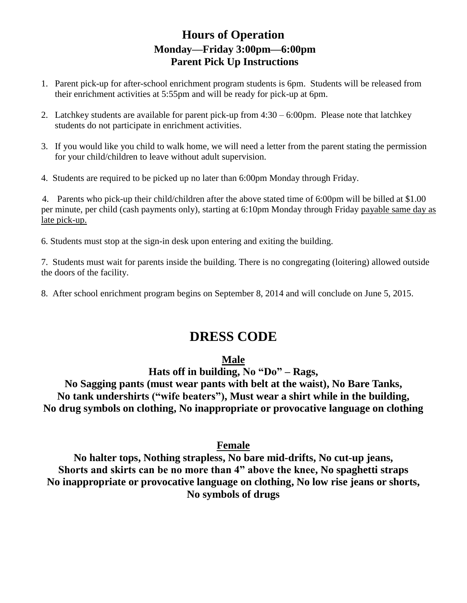## **Hours of Operation Monday—Friday 3:00pm—6:00pm Parent Pick Up Instructions**

- 1. Parent pick-up for after-school enrichment program students is 6pm. Students will be released from their enrichment activities at 5:55pm and will be ready for pick-up at 6pm.
- 2. Latchkey students are available for parent pick-up from  $4:30 6:00$  pm. Please note that latchkey students do not participate in enrichment activities.
- 3. If you would like you child to walk home, we will need a letter from the parent stating the permission for your child/children to leave without adult supervision.
- 4. Students are required to be picked up no later than 6:00pm Monday through Friday.

4. Parents who pick-up their child/children after the above stated time of 6:00pm will be billed at \$1.00 per minute, per child (cash payments only), starting at 6:10pm Monday through Friday payable same day as late pick-up.

6. Students must stop at the sign-in desk upon entering and exiting the building.

7. Students must wait for parents inside the building. There is no congregating (loitering) allowed outside the doors of the facility.

8. After school enrichment program begins on September 8, 2014 and will conclude on June 5, 2015.

# **DRESS CODE**

#### **Male**

**Hats off in building, No "Do" – Rags,** 

**No Sagging pants (must wear pants with belt at the waist), No Bare Tanks, No tank undershirts ("wife beaters"), Must wear a shirt while in the building, No drug symbols on clothing, No inappropriate or provocative language on clothing**

### **Female**

**No halter tops, Nothing strapless, No bare mid-drifts, No cut-up jeans, Shorts and skirts can be no more than 4" above the knee, No spaghetti straps No inappropriate or provocative language on clothing, No low rise jeans or shorts, No symbols of drugs**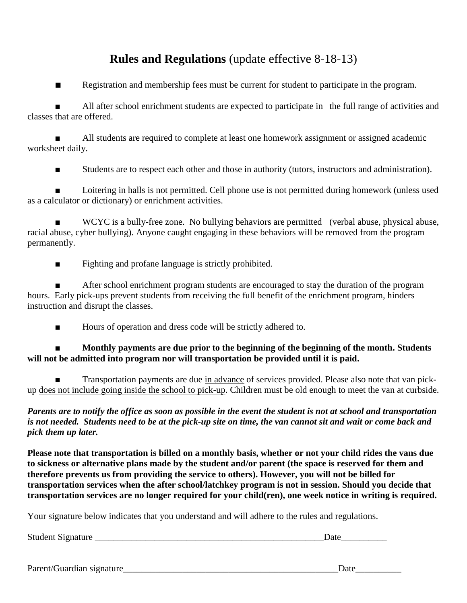## **Rules and Regulations** (update effective 8-18-13)

■ Registration and membership fees must be current for student to participate in the program.

■ All after school enrichment students are expected to participate in the full range of activities and classes that are offered.

All students are required to complete at least one homework assignment or assigned academic worksheet daily.

■ Students are to respect each other and those in authority (tutors, instructors and administration).

Loitering in halls is not permitted. Cell phone use is not permitted during homework (unless used as a calculator or dictionary) or enrichment activities.

WCYC is a bully-free zone. No bullying behaviors are permitted (verbal abuse, physical abuse, racial abuse, cyber bullying). Anyone caught engaging in these behaviors will be removed from the program permanently.

■ Fighting and profane language is strictly prohibited.

After school enrichment program students are encouraged to stay the duration of the program hours. Early pick-ups prevent students from receiving the full benefit of the enrichment program, hinders instruction and disrupt the classes.

■ Hours of operation and dress code will be strictly adhered to.

#### ■ **Monthly payments are due prior to the beginning of the beginning of the month. Students will not be admitted into program nor will transportation be provided until it is paid.**

Transportation payments are due in advance of services provided. Please also note that van pickup does not include going inside the school to pick-up. Children must be old enough to meet the van at curbside.

*Parents are to notify the office as soon as possible in the event the student is not at school and transportation is not needed. Students need to be at the pick-up site on time, the van cannot sit and wait or come back and pick them up later.*

**Please note that transportation is billed on a monthly basis, whether or not your child rides the vans due to sickness or alternative plans made by the student and/or parent (the space is reserved for them and therefore prevents us from providing the service to others). However, you will not be billed for transportation services when the after school/latchkey program is not in session. Should you decide that transportation services are no longer required for your child(ren), one week notice in writing is required.** 

Your signature below indicates that you understand and will adhere to the rules and regulations.

Student Signature \_\_\_\_\_\_\_\_\_\_\_\_\_\_\_\_\_\_\_\_\_\_\_\_\_\_\_\_\_\_\_\_\_\_\_\_\_\_\_\_\_\_\_\_\_\_\_\_\_\_Date\_\_\_\_\_\_\_\_\_\_

Parent/Guardian signature extendion that the set of the set of the set of the set of the set of the set of the set of the set of the set of the set of the set of the set of the set of the set of the set of the set of the s